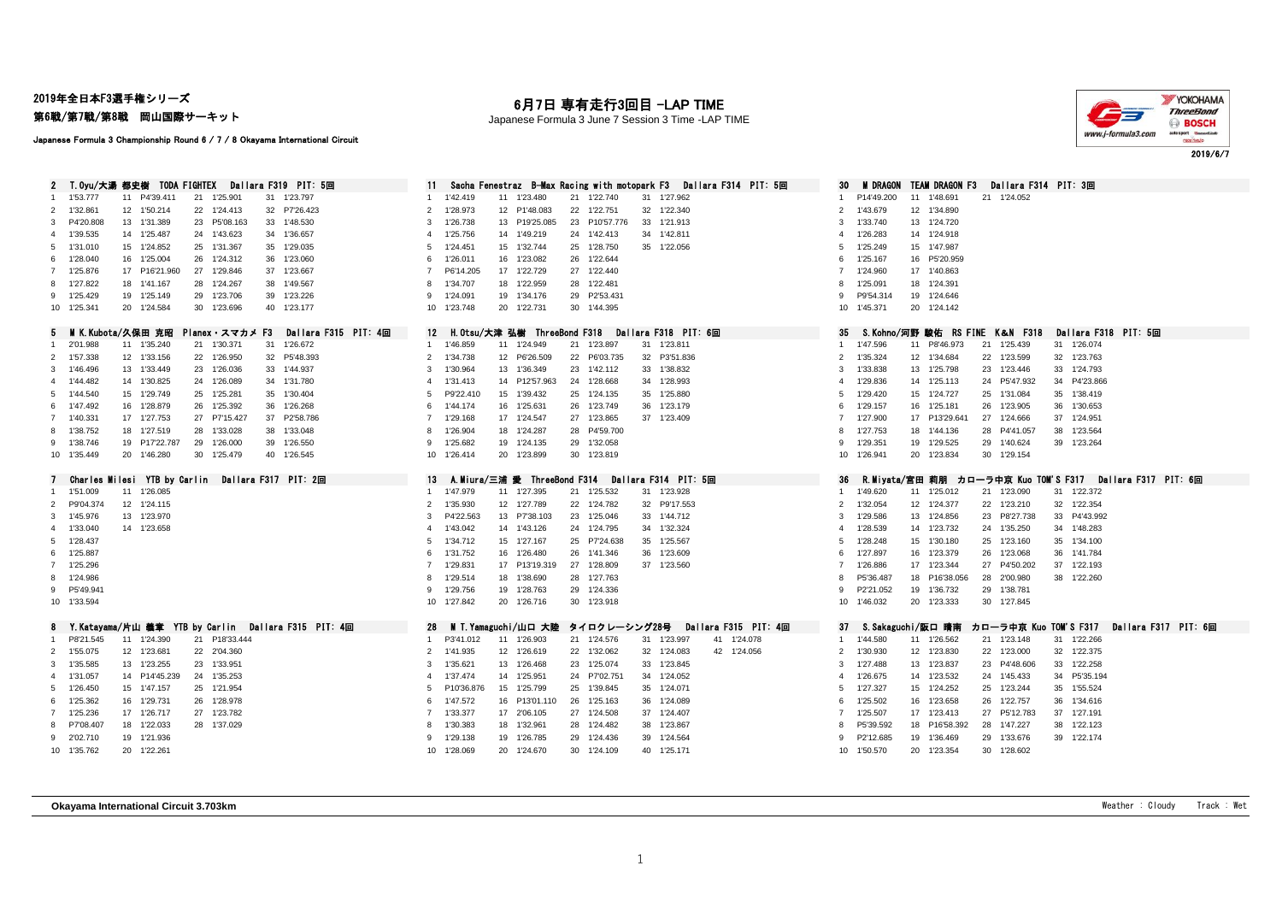2019年全日本F3選手権シリーズ

第6戦/第7戦/第8戦 岡山国際サーキット

## 月7日 専有走行3回目 -LAP TIME

Japanese Formula 3 June 7 Session 3 Time -LAP TIME



Japanese Formula 3 Championship Round 6 / 7 / 8 Okayama International Circuit

| Dallara F319 PIT: 5回<br>T.Oyu/大湯 都史樹 TODA FIGHTEX             | Sacha Fenestraz B-Max Racing with motopark F3<br>Dallara F314 PIT: 5回                                                             | <b>M DRAGON</b><br>TEAM DRAGON F3<br>30<br>Dallara F314 PIT: 3回                                          |
|---------------------------------------------------------------|-----------------------------------------------------------------------------------------------------------------------------------|----------------------------------------------------------------------------------------------------------|
| 21 1'25.901<br>1'53.777<br>11 P4'39.411<br>31 1'23.797<br>1.  | 21 1'22.740<br>1'42.419<br>11 1'23,480<br>31 1'27.962<br>-1                                                                       | 11 1'48.691<br>P14'49.200<br>21 1'24.052<br>-1                                                           |
| 2 1'32.861<br>12 1'50.214<br>22 1'24.413<br>32 P7'26,423      | 1'28.973<br>12 P1'48.083<br>22 1'22,751<br>32 1'22.340<br>2                                                                       | 2 1'43,679<br>12 1'34,890                                                                                |
| 13 1'31.389<br>23 P5'08.163<br>33 1'48.530<br>3 P4'20.808     | 1'26.738<br>13 P19'25.085<br>23 P10'57.776<br>33 1'21.913<br>-3                                                                   | 1'33.740<br>13 1'24.720<br>3                                                                             |
| 14 1'25.487<br>24 1'43.623<br>34 1'36.657<br>4 1'39.535       | 1'25.756<br>14 1'49.219<br>24 1'42.413<br>34 1'42.811                                                                             | 1'26.283<br>14 1'24.918<br>$\overline{4}$                                                                |
| 5 1'31.010<br>15 1'24.852<br>25 1'31.367<br>35 1'29.035       | 1'24.451<br>15 1'32.744<br>25 1'28.750<br>35 1'22.056<br>-5                                                                       | 1'25.249<br>15 1'47.987<br>5                                                                             |
| 6 1'28,040<br>16 1'25.004<br>26 1'24.312<br>36 1'23.060       | 1'26.011<br>16 1'23.082<br>26<br>1'22.644                                                                                         | 1'25.167<br>16 P5'20.959<br>6                                                                            |
| 17 P16'21.960<br>27 1'29.846<br>7 1'25.876<br>37 1'23.667     | P6'14.205<br>17 1'22.729<br>27 1'22.440                                                                                           | 1'24.960<br>17 1'40.863<br>$\overline{7}$                                                                |
| 8 1'27.822<br>38 1'49.567<br>18 1'41.167<br>28 1'24.267       | 1'34.707<br>18 1'22.959<br>28 1'22.481                                                                                            | 1'25.091<br>18 1'24.391<br>8                                                                             |
| 9 1'25.429<br>19 1'25.149<br>29 1'23.706<br>39 1'23.226       | 29 P2'53.431<br>1'24.091<br>19 1'34.176<br>$\mathbf{Q}$                                                                           | 19 1'24.646<br>P9'54.314<br>9                                                                            |
| 10 1'25.341<br>20 1'24.584<br>30 1'23.696<br>40 1'23.177      | 10 1'23.748<br>20 1'22.731<br>30 1'44.395                                                                                         | 10 1'45.371<br>20 1'24.142                                                                               |
|                                                               |                                                                                                                                   |                                                                                                          |
| 5 MIK.Kubota/久保田 克昭<br>Planex・スマカメ F3<br>Dallara F315 PIT: 4回 | 12 H.Otsu/大津 弘樹 ThreeBond F318<br>Dallara F318 PIT: 6回                                                                            | 35<br>S.Kohno/河野 駿佑 RS FINE K&N F318<br>Dallara F318 PIT: 5回                                             |
| 1 2'01.988<br>11 1'35.240<br>21 1'30.371<br>31 1'26.672       | 21 1'23.897<br>1'46.859<br>11 1'24.949<br>31 1'23.811<br>$\mathbf{1}$                                                             | 1'47.596<br>11 P8'46.973<br>21 1'25.439<br>31 1'26.074                                                   |
| 32 P5'48.393<br>2 1'57.338<br>12 1'33.156<br>22 1'26.950      | 2<br>1'34.738<br>12 P6'26.509<br>22 P6'03.735<br>32 P3'51.836                                                                     | 2 1'35.324<br>12 1'34.684<br>22 1'23.599<br>32 1'23.763                                                  |
| 13 1'33.449<br>33 1'44,937<br>3 1'46,496<br>23 1'26.036       | 1'30.964<br>13 1'36.349<br>23 1'42.112<br>33 1'38,832<br>3                                                                        | 1'33.838<br>13 1'25,798<br>23 1'23.446<br>33 1'24.793<br>3                                               |
| 14 1'30.825<br>24 1'26.089<br>34 1'31.780<br>4 1'44.482       | 1'31.413<br>14 P12'57.963<br>24 1'28.668<br>34 1'28.993                                                                           | 1'29.836<br>14 1'25.113<br>24 P5'47.932<br>34 P4'23.866<br>4                                             |
| 5 1'44.540<br>15 1'29.749<br>25 1'25.281<br>35 1'30.404       | P9'22.410<br>15 1'39.432<br>25 1'24.135<br>35 1'25.880<br>-5                                                                      | 1'29.420<br>15 1'24.727<br>25 1'31.084<br>35 1'38.419<br>5                                               |
| 1'47.492<br>16 1'28.879<br>26 1'25.392<br>36 1'26.268<br>6    | 1'44.174<br>16 1'25.631<br>26<br>1'23.749<br>36 1'23.179<br>-6                                                                    | 1'29.157<br>16 1'25.181<br>26 1'23.905<br>36 1'30.653<br>6                                               |
| 17 1'27.753<br>27 P7'15.427<br>37 P2'58,786<br>7 1'40.331     | 1'29.168<br>27 1'23.865<br>17 1'24.547<br>37 1'23,409<br>$\overline{7}$                                                           | 17 P13'29.641<br>$\overline{7}$<br>1'27.900<br>27 1'24,666<br>37 1'24.951                                |
| 8 1'38.752<br>18 1'27.519<br>28 1'33.028<br>38 1'33.048       | 1'26.904<br>18 1'24.287<br>28<br>P4'59.700                                                                                        | 1'27.753<br>18 1'44.136<br>28 P4'41.057<br>38 1'23.564<br>8                                              |
| 9 1'38.746<br>19 P17'22.787<br>29 1'26.000<br>39 1'26.550     | 1'25.682<br>19 1'24.135<br>29 1'32.058<br>-9                                                                                      | 9<br>1'29.351<br>19 1'29.525<br>29 1'40.624<br>39 1'23.264                                               |
| 10 1'35.449<br>20 1'46.280<br>30 1'25.479<br>40 1'26.545      | 30 1'23.819<br>10 1'26.414<br>20 1'23.899                                                                                         | 20 1'23.834<br>10 1'26.941<br>30 1'29.154                                                                |
|                                                               |                                                                                                                                   |                                                                                                          |
|                                                               | Dallara F314 PIT: 5回<br>13<br>A.Miura/三浦 愛 ThreeBond F314                                                                         | 36<br><b>R.Miyata/宮田 莉朋 カローラ中京 Kuo TOM'S F317</b><br>Dallara F317 PIT: 6回                                |
| Charles Milesi YTB by Carlin<br>Dallara F317 PIT: 2回          |                                                                                                                                   |                                                                                                          |
| 1'51.009<br>11 1'26.085                                       | 21 1'25.532<br>31 1'23.928<br>1'47.979<br>11 1'27.395                                                                             | 1'49.620<br>11 1'25.012<br>21 1'23.090<br>31 1'22.372                                                    |
| 2 P9'04.374<br>12 1'24.115                                    | 1'35.930<br>12 1'27.789<br>22 1'24.782<br>32 P9'17.553<br>$\mathcal{P}$                                                           | 12 1'24.377<br>22 1'23.210<br>32 1'22.354<br>2<br>1'32.054                                               |
| 3 1'45,976<br>13 1'23.970                                     | P4'22.563<br>13 P7'38.103<br>1'25.046<br>23<br>33 1'44.712<br>-3                                                                  | 1'29.586<br>13 1'24.856<br>23 P8'27.738<br>33 P4'43.992<br>3                                             |
| 4 1'33.040<br>14 1'23.658                                     | 1'43.042<br>14 1'43.126<br>24 1'24.795<br>34 1'32.324<br>$\mathbf{A}$                                                             | 1'28.539<br>14 1'23.732<br>24 1'35.250<br>34 1'48.283<br>$\overline{4}$                                  |
| 5 1'28.437                                                    | 1'34.712<br>15 1'27.167<br>25 P7'24.638<br>35 1'25.567<br>-5                                                                      | 1'28.248<br>15 1'30.180<br>25 1'23.160<br>35 1'34.100<br>5                                               |
| 6 1'25.887                                                    | 1'31.752<br>16 1'26.480<br>26<br>1'41.346<br>36 1'23.609<br>-6                                                                    | 16 1'23.379<br>1'27.897<br>26 1'23.068<br>36 1'41.784<br>6                                               |
| 7 1'25.296                                                    | 27<br>1'29.831<br>17 P13'19.319<br>1'28.809<br>37 1'23.560                                                                        | 1'26.886<br>17 1'23.344<br>27 P4'50.202<br>37 1'22.193<br>$\overline{7}$                                 |
| 8 1'24,986                                                    | 1'29.514<br>18 1'38,690<br>28<br>1'27.763                                                                                         | 18 P16'38.056<br>38 1'22.260<br>P5'36.487<br>28 2'00.980<br>8                                            |
| 9 P5'49.941                                                   | 1'29.756<br>19 1'28.763<br>29 1'24.336<br>-9                                                                                      | P2'21.052<br>19 1'36.732<br>29 1'38.781<br>-9                                                            |
| 10 1'33.594                                                   | 10 1'27.842<br>20 1'26.716<br>30 1'23.918                                                                                         | 10 1'46.032<br>20 1'23.333<br>30 1'27.845                                                                |
|                                                               |                                                                                                                                   |                                                                                                          |
| Y.Katayama/片山 義章 YTB by Carlin Dallara F315 PIT: 4回<br>8      | Dallara F315 PIT: 4回<br>MIT.Yamaguchi/山口 大陸<br>タイロクレーシング28号<br>28                                                                 | カローラ中京 Kuo TOM'S F317<br>-37<br>S.Sakaguchi/阪口 晴南<br>Dallara F317 PIT: 6回                                |
| P8'21.545<br>21 P18'33.444<br>11 1'24.390<br>$\mathbf{1}$     | 41 1'24.078<br>P3'41.012<br>11 1'26.903<br>21 1'24.576<br>31 1'23.997<br>$\overline{1}$                                           | 1'44.580<br>31 1'22.266<br>11 1'26.562<br>21 1'23.148<br>$\overline{1}$                                  |
| 2 1'55.075<br>12 1'23.681<br>22 2'04.360                      | 1'41.935<br>12 1'26.619<br>22 1'32.062<br>$\overline{2}$<br>32 1'24.083<br>42 1'24.056<br>-3                                      | 12 1'23.830<br>22 1'23.000<br>32 1'22.375<br>$\overline{2}$<br>1'30.930<br>3                             |
| 3 1'35.585<br>13 1'23.255<br>23 1'33.951                      | 1'35.621<br>13 1'26.468<br>23<br>1'25.074<br>33 1'23.845                                                                          | 1'27.488<br>13 1'23.837<br>23 P4'48.606<br>33 1'22.258                                                   |
| 14 P14'45.239<br>24 1'35.253<br>4 1'31.057                    | 1'37.474<br>14 1'25.951<br>24 P7'02.751<br>34 1'24.052<br>4                                                                       | 14 1'23.532<br>34 P5'35.194<br>1'26.675<br>24 1'45.433<br>$\overline{4}$                                 |
| 5 1'26,450<br>15 1'47.157<br>25 1'21.954                      | 15 1'25.799<br>1'39.845<br>P10'36.876<br>25<br>35 1'24.071                                                                        | 1'27.327<br>15 1'24.252<br>25 1'23.244<br>35 1'55.524<br>5                                               |
| 6 1'25.362<br>16 1'29.731<br>26 1'28.978                      | 16 P13'01.110<br>26<br>1'47.572<br>1'25.163<br>36 1'24.089<br>-6<br>7                                                             | 1'25.502<br>16 1'23.658<br>36 1'34.616<br>6<br>26 1'22.757                                               |
| 7 1'25.236<br>17 1'26.717<br>27 1'23.782                      | 1'33.377<br>17 2'06.105<br>27 1'24.508<br>37 1'24.407                                                                             | 1'25.507<br>17 1'23.413<br>27 P5'12.783<br>37 1'27.191<br>$\overline{7}$<br>8                            |
| 8 P7'08.407<br>18 1'22.033<br>28 1'37.029                     | 1'30.383<br>18 1'32.961<br>28<br>1'24.482<br>38 1'23.867                                                                          | 18 P16'58.392<br>P5'39.592<br>28 1'47.227<br>38 1'22.123                                                 |
| 9 2'02.710<br>19 1'21.936<br>10 1'35.762<br>20 1'22.261       | 1'29.138<br>19 1'26.785<br>29 1'24.436<br>39 1'24.564<br>$\mathbf{Q}$<br>10 1'28,069<br>20 1'24,670<br>30 1'24.109<br>40 1'25.171 | P2'12.685<br>9<br>19 1'36.469<br>29 1'33.676<br>39 1'22.174<br>10 1'50.570<br>20 1'23.354<br>30 1'28,602 |